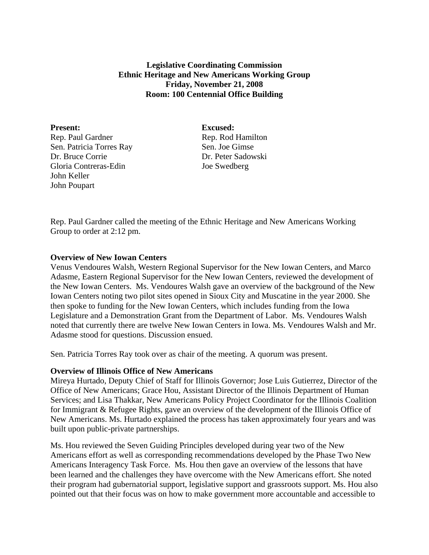## **Legislative Coordinating Commission Ethnic Heritage and New Americans Working Group Friday, November 21, 2008 Room: 100 Centennial Office Building**

Present: Excused: Rep. Paul Gardner Rep. Rod Hamilton Sen. Patricia Torres Ray Sen. Joe Gimse Dr. Bruce Corrie Dr. Peter Sadowski Gloria Contreras-Edin Joe Swedberg John Keller John Poupart

Rep. Paul Gardner called the meeting of the Ethnic Heritage and New Americans Working Group to order at 2:12 pm.

## **Overview of New Iowan Centers**

Venus Vendoures Walsh, Western Regional Supervisor for the New Iowan Centers, and Marco Adasme, Eastern Regional Supervisor for the New Iowan Centers, reviewed the development of the New Iowan Centers. Ms. Vendoures Walsh gave an overview of the background of the New Iowan Centers noting two pilot sites opened in Sioux City and Muscatine in the year 2000. She then spoke to funding for the New Iowan Centers, which includes funding from the Iowa Legislature and a Demonstration Grant from the Department of Labor. Ms. Vendoures Walsh noted that currently there are twelve New Iowan Centers in Iowa. Ms. Vendoures Walsh and Mr. Adasme stood for questions. Discussion ensued.

Sen. Patricia Torres Ray took over as chair of the meeting. A quorum was present.

## **Overview of Illinois Office of New Americans**

Mireya Hurtado, Deputy Chief of Staff for Illinois Governor; Jose Luis Gutierrez, Director of the Office of New Americans; Grace Hou, Assistant Director of the Illinois Department of Human Services; and Lisa Thakkar, New Americans Policy Project Coordinator for the Illinois Coalition for Immigrant & Refugee Rights, gave an overview of the development of the Illinois Office of New Americans. Ms. Hurtado explained the process has taken approximately four years and was built upon public-private partnerships.

Ms. Hou reviewed the Seven Guiding Principles developed during year two of the New Americans effort as well as corresponding recommendations developed by the Phase Two New Americans Interagency Task Force. Ms. Hou then gave an overview of the lessons that have been learned and the challenges they have overcome with the New Americans effort. She noted their program had gubernatorial support, legislative support and grassroots support. Ms. Hou also pointed out that their focus was on how to make government more accountable and accessible to